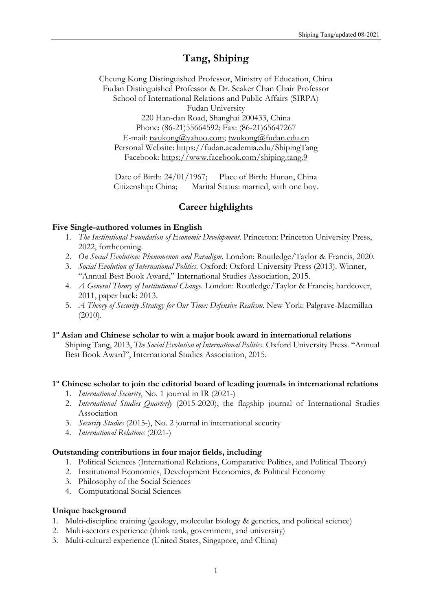# **Tang, Shiping**

Cheung Kong Distinguished Professor, Ministry of Education, China Fudan Distinguished Professor & Dr. Seaker Chan Chair Professor School of International Relations and Public Affairs (SIRPA) Fudan University 220 Han-dan Road, Shanghai 200433, China Phone: (86-21)55664592; Fax: (86-21)65647267 E-mail: twukong@yahoo.com; twukong@fudan.edu.cn Personal Website: https://fudan.academia.edu/ShipingTang Facebook: https://www.facebook.com/shiping.tang.9

Date of Birth: 24/01/1967; Place of Birth: Hunan, China Citizenship: China; Marital Status: married, with one boy.

# **Career highlights**

## **Five Single-authored volumes in English**

- 1. *The Institutional Foundation of Economic Development*. Princeton: Princeton University Press, 2022, forthcoming.
- 2. *On Social Evolution: Phenomenon and Paradigm.* London: Routledge/Taylor & Francis, 2020.
- 3. *Social Evolution of International Politics*. Oxford: Oxford University Press (2013). Winner, "Annual Best Book Award," International Studies Association, 2015.
- 4. *A General Theory of Institutional Change*. London: Routledge/Taylor & Francis; hardcover, 2011, paper back: 2013.
- 5. *A Theory of Security Strategy for Our Time: Defensive Realism*. New York: Palgrave-Macmillan  $(2010).$

## **1st Asian and Chinese scholar to win a major book award in international relations**

Shiping Tang, 2013, *The Social Evolution of International Politics*. Oxford University Press. "Annual Best Book Award", International Studies Association, 2015.

## **1st Chinese scholar to join the editorial board of leading journals in international relations**

- 1. *International Security*, No. 1 journal in IR (2021-)
- 2. *International Studies Quarterly* (2015-2020), the flagship journal of International Studies Association
- 3. *Security Studies* (2015-), No. 2 journal in international security
- 4. *International Relations* (2021-)

## **Outstanding contributions in four major fields, including**

- 1. Political Sciences (International Relations, Comparative Politics, and Political Theory)
- 2. Institutional Economics, Development Economics, & Political Economy
- 3. Philosophy of the Social Sciences
- 4. Computational Social Sciences

## **Unique background**

- 1. Multi-discipline training (geology, molecular biology & genetics, and political science)
- 2. Multi-sectors experience (think tank, government, and university)
- 3. Multi-cultural experience (United States, Singapore, and China)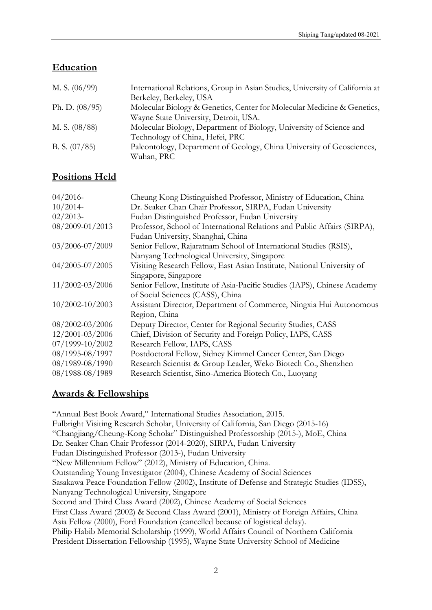# **Education**

| M. S. $(06/99)$  | International Relations, Group in Asian Studies, University of California at |
|------------------|------------------------------------------------------------------------------|
|                  | Berkeley, Berkeley, USA                                                      |
| Ph. D. $(08/95)$ | Molecular Biology & Genetics, Center for Molecular Medicine & Genetics,      |
|                  | Wayne State University, Detroit, USA.                                        |
| M. S. $(08/88)$  | Molecular Biology, Department of Biology, University of Science and          |
|                  | Technology of China, Hefei, PRC                                              |
| B. S. $(07/85)$  | Paleontology, Department of Geology, China University of Geosciences,        |
|                  | Wuhan, PRC                                                                   |

# **Positions Held**

| $04/2016$ -         | Cheung Kong Distinguished Professor, Ministry of Education, China        |
|---------------------|--------------------------------------------------------------------------|
| $10/2014$ -         | Dr. Seaker Chan Chair Professor, SIRPA, Fudan University                 |
| $02/2013$ -         | Fudan Distinguished Professor, Fudan University                          |
| 08/2009-01/2013     | Professor, School of International Relations and Public Affairs (SIRPA), |
|                     | Fudan University, Shanghai, China                                        |
| 03/2006-07/2009     | Senior Fellow, Rajaratnam School of International Studies (RSIS),        |
|                     | Nanyang Technological University, Singapore                              |
| 04/2005-07/2005     | Visiting Research Fellow, East Asian Institute, National University of   |
|                     | Singapore, Singapore                                                     |
| 11/2002-03/2006     | Senior Fellow, Institute of Asia-Pacific Studies (IAPS), Chinese Academy |
|                     | of Social Sciences (CASS), China                                         |
| $10/2002 - 10/2003$ | Assistant Director, Department of Commerce, Ningxia Hui Autonomous       |
|                     | Region, China                                                            |
| $08/2002 - 03/2006$ | Deputy Director, Center for Regional Security Studies, CASS              |
| 12/2001-03/2006     | Chief, Division of Security and Foreign Policy, IAPS, CASS               |
| 07/1999-10/2002     | Research Fellow, IAPS, CASS                                              |
| 08/1995-08/1997     | Postdoctoral Fellow, Sidney Kimmel Cancer Center, San Diego              |
| 08/1989-08/1990     | Research Scientist & Group Leader, Weko Biotech Co., Shenzhen            |
| 08/1988-08/1989     | Research Scientist, Sino-America Biotech Co., Luoyang                    |

# **Awards & Fellowships**

"Annual Best Book Award," International Studies Association, 2015. Fulbright Visiting Research Scholar, University of California, San Diego (2015-16) "Changjiang/Cheung-Kong Scholar" Distinguished Professorship (2015-), MoE, China Dr. Seaker Chan Chair Professor (2014-2020), SIRPA, Fudan University Fudan Distinguished Professor (2013-), Fudan University "New Millennium Fellow" (2012), Ministry of Education, China. Outstanding Young Investigator (2004), Chinese Academy of Social Sciences Sasakawa Peace Foundation Fellow (2002), Institute of Defense and Strategic Studies (IDSS), Nanyang Technological University, Singapore Second and Third Class Award (2002), Chinese Academy of Social Sciences First Class Award (2002) & Second Class Award (2001), Ministry of Foreign Affairs, China Asia Fellow (2000), Ford Foundation (cancelled because of logistical delay). Philip Habib Memorial Scholarship (1999), World Affairs Council of Northern California President Dissertation Fellowship (1995), Wayne State University School of Medicine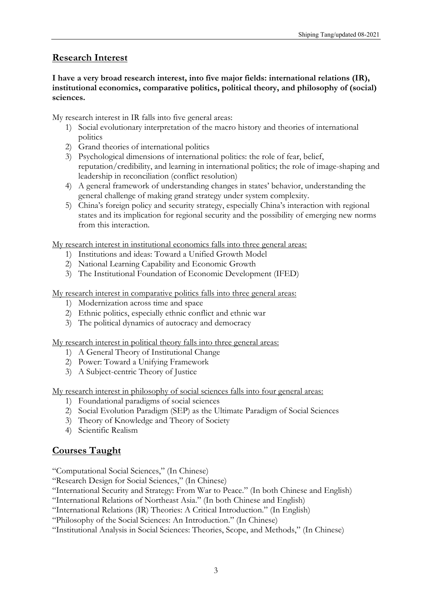# **Research Interest**

## **I have a very broad research interest, into five major fields: international relations (IR), institutional economics, comparative politics, political theory, and philosophy of (social) sciences.**

My research interest in IR falls into five general areas:

- 1) Social evolutionary interpretation of the macro history and theories of international politics
- 2) Grand theories of international politics
- 3) Psychological dimensions of international politics: the role of fear, belief, reputation/credibility, and learning in international politics; the role of image-shaping and leadership in reconciliation (conflict resolution)
- 4) A general framework of understanding changes in states' behavior, understanding the general challenge of making grand strategy under system complexity.
- 5) China's foreign policy and security strategy, especially China's interaction with regional states and its implication for regional security and the possibility of emerging new norms from this interaction.

My research interest in institutional economics falls into three general areas:

- 1) Institutions and ideas: Toward a Unified Growth Model
- 2) National Learning Capability and Economic Growth
- 3) The Institutional Foundation of Economic Development (IFED)

My research interest in comparative politics falls into three general areas:

- 1) Modernization across time and space
- 2) Ethnic politics, especially ethnic conflict and ethnic war
- 3) The political dynamics of autocracy and democracy

My research interest in political theory falls into three general areas:

- 1) A General Theory of Institutional Change
- 2) Power: Toward a Unifying Framework
- 3) A Subject-centric Theory of Justice

My research interest in philosophy of social sciences falls into four general areas:

- 1) Foundational paradigms of social sciences
- 2) Social Evolution Paradigm (SEP) as the Ultimate Paradigm of Social Sciences
- 3) Theory of Knowledge and Theory of Society
- 4) Scientific Realism

# **Courses Taught**

"Computational Social Sciences," (In Chinese)

"Research Design for Social Sciences," (In Chinese)

- "International Security and Strategy: From War to Peace." (In both Chinese and English)
- "International Relations of Northeast Asia." (In both Chinese and English)
- "International Relations (IR) Theories: A Critical Introduction." (In English)

"Philosophy of the Social Sciences: An Introduction." (In Chinese)

"Institutional Analysis in Social Sciences: Theories, Scope, and Methods," (In Chinese)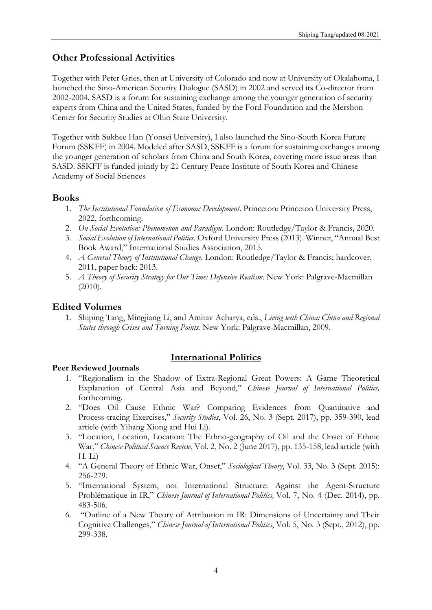# **Other Professional Activities**

Together with Peter Gries, then at University of Colorado and now at University of Okalahoma, I launched the Sino-American Security Dialogue (SASD) in 2002 and served its Co-director from 2002-2004. SASD is a forum for sustaining exchange among the younger generation of security experts from China and the United States, funded by the Ford Foundation and the Mershon Center for Security Studies at Ohio State University.

Together with Sukhee Han (Yonsei University), I also launched the Sino-South Korea Future Forum (SSKFF) in 2004. Modeled after SASD, SSKFF is a forum for sustaining exchanges among the younger generation of scholars from China and South Korea, covering more issue areas than SASD. SSKFF is funded jointly by 21 Century Peace Institute of South Korea and Chinese Academy of Social Sciences

## **Books**

- 1. *The Institutional Foundation of Economic Development*. Princeton: Princeton University Press, 2022, forthcoming.
- 2. *On Social Evolution: Phenomenon and Paradigm.* London: Routledge/Taylor & Francis, 2020.
- 3. *Social Evolution of International Politics*. Oxford University Press (2013). Winner, "Annual Best Book Award," International Studies Association, 2015.
- 4. *A General Theory of Institutional Change*. London: Routledge/Taylor & Francis; hardcover, 2011, paper back: 2013.
- 5. *A Theory of Security Strategy for Our Time: Defensive Realism*. New York: Palgrave-Macmillan (2010).

# **Edited Volumes**

1. Shiping Tang, Mingjiang Li, and Amitav Acharya, eds., *Living with China: China and Regional States through Crises and Turning Points.* New York: Palgrave-Macmillan, 2009.

## **Peer Reviewed Journals**

1. "Regionalism in the Shadow of Extra-Regional Great Powers: A Game Theoretical Explanation of Central Asia and Beyond," *Chinese Journal of International Politics,* forthcoming.

**International Politics** 

- 2. "Does Oil Cause Ethnic War? Comparing Evidences from Quantitative and Process-tracing Exercises," *Security Studies*, Vol. 26, No. 3 (Sept. 2017), pp. 359-390, lead article (with Yihang Xiong and Hui Li).
- 3. "Location, Location, Location: The Ethno-geography of Oil and the Onset of Ethnic War," *Chinese Political Science Review*, Vol. 2, No. 2 (June 2017), pp. 135-158, lead article (with H. Li)
- 4. "A General Theory of Ethnic War, Onset," *Sociological Theory*, Vol. 33, No. 3 (Sept. 2015): 256-279.
- 5. "International System, not International Structure: Against the Agent-Structure Problématique in IR," *Chinese Journal of International Politics,* Vol. 7, No. 4 (Dec. 2014), pp. 483-506.
- 6. "Outline of a New Theory of Attribution in IR: Dimensions of Uncertainty and Their Cognitive Challenges," *Chinese Journal of International Politics*, Vol. 5, No. 3 (Sept., 2012), pp. 299-338.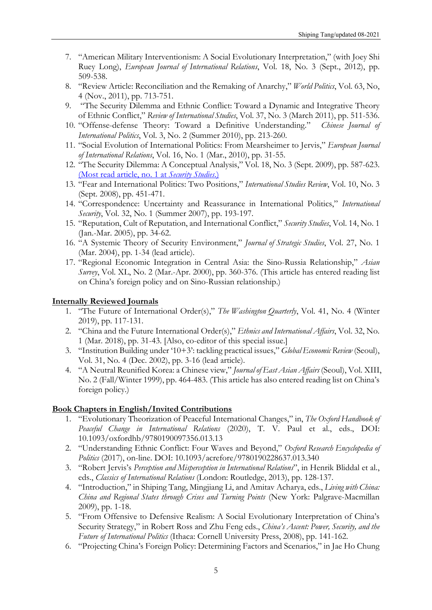- 7. "American Military Interventionism: A Social Evolutionary Interpretation," (with Joey Shi Ruey Long), *European Journal of International Relations*, Vol. 18, No. 3 (Sept., 2012), pp. 509-538.
- 8. "Review Article: Reconciliation and the Remaking of Anarchy," *World Politics*, Vol. 63, No, 4 (Nov., 2011), pp. 713-751.
- 9. "The Security Dilemma and Ethnic Conflict: Toward a Dynamic and Integrative Theory of Ethnic Conflict," *Review of International Studies*, Vol. 37, No. 3 (March 2011), pp. 511-536.
- 10. "Offense-defense Theory: Toward a Definitive Understanding." *Chinese Journal of International Politics*, Vol. 3, No. 2 (Summer 2010), pp. 213-260.
- 11. "Social Evolution of International Politics: From Mearsheimer to Jervis," *European Journal of International Relations*, Vol. 16, No. 1 (Mar., 2010), pp. 31-55.
- 12. "The Security Dilemma: A Conceptual Analysis," Vol. 18, No. 3 (Sept. 2009), pp. 587-623. (Most read article, no. 1 at *Security Studies*.)
- 13. "Fear and International Politics: Two Positions," *International Studies Review*, Vol. 10, No. 3 (Sept. 2008), pp. 451-471.
- 14. "Correspondence: Uncertainty and Reassurance in International Politics," *International Security*, Vol. 32, No. 1 (Summer 2007), pp. 193-197.
- 15. "Reputation, Cult of Reputation, and International Conflict," *Security Studies*, Vol. 14, No. 1 (Jan.-Mar. 2005), pp. 34-62.
- 16. "A Systemic Theory of Security Environment," *Journal of Strategic Studies*, Vol. 27, No. 1 (Mar. 2004), pp. 1-34 (lead article).
- 17. "Regional Economic Integration in Central Asia: the Sino-Russia Relationship," *Asian Survey*, Vol. XL, No. 2 (Mar.-Apr. 2000), pp. 360-376. (This article has entered reading list on China's foreign policy and on Sino-Russian relationship.)

#### **Internally Reviewed Journals**

- 1. "The Future of International Order(s)," *The Washington Quarterly*, Vol. 41, No. 4 (Winter 2019), pp. 117-131.
- 2. "China and the Future International Order(s)," *Ethnics and International Affairs*, Vol. 32, No. 1 (Mar. 2018), pp. 31-43. [Also, co-editor of this special issue.]
- 3. "Institution Building under '10+3': tackling practical issues," *Global Economic Review* (Seoul), Vol. 31, No. 4 (Dec. 2002), pp. 3-16 (lead article).
- 4. "A Neutral Reunified Korea: a Chinese view," *Journal of East Asian Affairs* (Seoul), Vol. XIII, No. 2 (Fall/Winter 1999), pp. 464-483. (This article has also entered reading list on China's foreign policy.)

#### **Book Chapters in English/Invited Contributions**

- 1. "Evolutionary Theorization of Peaceful International Changes," in, *The Oxford Handbook of Peaceful Change in International Relations* (2020), T. V. Paul et al., eds., DOI: 10.1093/oxfordhb/9780190097356.013.13
- 2. "Understanding Ethnic Conflict: Four Waves and Beyond," *Oxford Research Encyclopedia of Politics* (2017), on-line. DOI: 10.1093/acrefore/9780190228637.013.340
- 3. "Robert Jervis's *Perception and Misperception in International Relations*", in Henrik Bliddal et al., eds., *Classics of International Relations* (London: Routledge, 2013), pp. 128-137.
- 4. "Introduction," in Shiping Tang, Mingjiang Li, and Amitav Acharya, eds., *Living with China: China and Regional States through Crises and Turning Points* (New York: Palgrave-Macmillan 2009), pp. 1-18.
- 5. "From Offensive to Defensive Realism: A Social Evolutionary Interpretation of China's Security Strategy," in Robert Ross and Zhu Feng eds., *China's Ascent: Power, Security, and the Future of International Politics* (Ithaca: Cornell University Press, 2008), pp. 141-162.
- 6. "Projecting China's Foreign Policy: Determining Factors and Scenarios," in Jae Ho Chung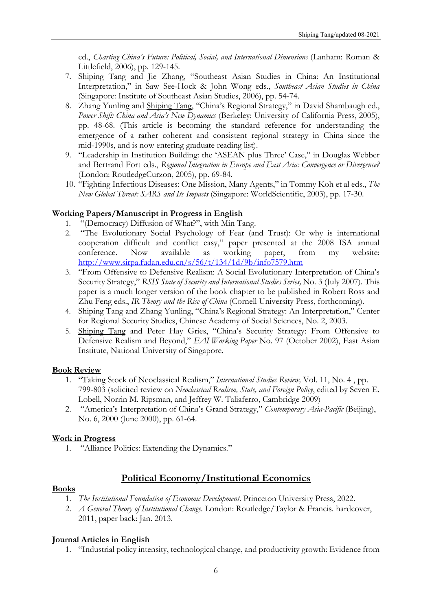ed., *Charting China's Future: Political, Social, and International Dimensions* (Lanham: Roman & Littlefield, 2006), pp. 129-145.

- 7. Shiping Tang and Jie Zhang, "Southeast Asian Studies in China: An Institutional Interpretation," in Saw See-Hock & John Wong eds., *Southeast Asian Studies in China* (Singapore: Institute of Southeast Asian Studies, 2006), pp. 54-74.
- 8. Zhang Yunling and Shiping Tang, "China's Regional Strategy," in David Shambaugh ed., *Power Shift: China and Asia's New Dynamics* (Berkeley: University of California Press, 2005), pp. 48-68. (This article is becoming the standard reference for understanding the emergence of a rather coherent and consistent regional strategy in China since the mid-1990s, and is now entering graduate reading list).
- 9. "Leadership in Institution Building: the 'ASEAN plus Three' Case," in Douglas Webber and Bertrand Fort eds., *Regional Integration in Europe and East Asia: Convergence or Divergence?*  (London: RoutledgeCurzon, 2005), pp. 69-84.
- 10. "Fighting Infectious Diseases: One Mission, Many Agents," in Tommy Koh et al eds., *The New Global Threat: SARS and Its Impacts* (Singapore: WorldScientific, 2003), pp. 17-30.

## **Working Papers/Manuscript in Progress in English**

- 1. "(Democracy) Diffusion of What?", with Min Tang.
- 2. "The Evolutionary Social Psychology of Fear (and Trust): Or why is international cooperation difficult and conflict easy," paper presented at the 2008 ISA annual conference. Now available as working paper, from my website: http://www.sirpa.fudan.edu.cn/s/56/t/134/1d/9b/info7579.htm
- 3. "From Offensive to Defensive Realism: A Social Evolutionary Interpretation of China's Security Strategy," *RSIS State of Security and International Studies Series,* No. 3 (July 2007). This paper is a much longer version of the book chapter to be published in Robert Ross and Zhu Feng eds., *IR Theory and the Rise of China* (Cornell University Press, forthcoming).
- 4. Shiping Tang and Zhang Yunling, "China's Regional Strategy: An Interpretation," Center for Regional Security Studies, Chinese Academy of Social Sciences, No. 2, 2003.
- 5. Shiping Tang and Peter Hay Gries, "China's Security Strategy: From Offensive to Defensive Realism and Beyond," *EAI Working Paper* No. 97 (October 2002), East Asian Institute, National University of Singapore.

## **Book Review**

- 1. "Taking Stock of Neoclassical Realism," *International Studies Review,* Vol. 11, No. 4 , pp. 799-803 (solicited review on *Neoclassical Realism, State, and Foreign Policy*, edited by Seven E. Lobell, Norrin M. Ripsman, and Jeffrey W. Taliaferro, Cambridge 2009)
- 2. "America's Interpretation of China's Grand Strategy," *Contemporary Asia-Pacific* (Beijing), No. 6, 2000 (June 2000), pp. 61-64.

## **Work in Progress**

1. "Alliance Politics: Extending the Dynamics."

# **Political Economy/Institutional Economics**

## **Books**

- 1. *The Institutional Foundation of Economic Development*. Princeton University Press, 2022.
- 2. *A General Theory of Institutional Change*. London: Routledge/Taylor & Francis. hardcover, 2011, paper back: Jan. 2013.

## **Journal Articles in English**

1. "Industrial policy intensity, technological change, and productivity growth: Evidence from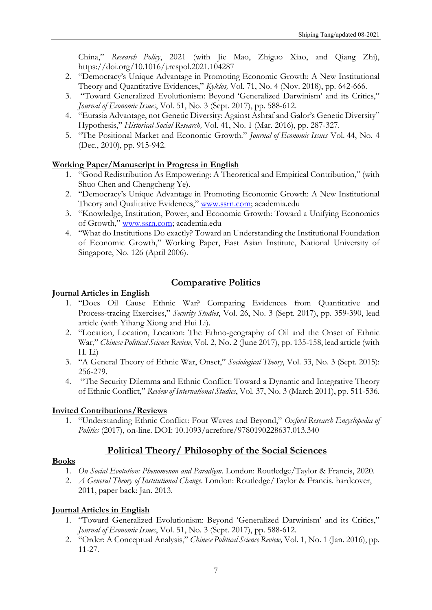China," *Research Policy*, 2021 (with Jie Mao, Zhiguo Xiao, and Qiang Zhi), https://doi.org/10.1016/j.respol.2021.104287

- 2. "Democracy's Unique Advantage in Promoting Economic Growth: A New Institutional Theory and Quantitative Evidences," *Kyklos,* Vol. 71, No. 4 (Nov. 2018), pp. 642-666.
- 3. "Toward Generalized Evolutionism: Beyond 'Generalized Darwinism' and its Critics," *Journal of Economic Issues*, Vol. 51, No. 3 (Sept. 2017), pp. 588-612.
- 4. "Eurasia Advantage, not Genetic Diversity: Against Ashraf and Galor's Genetic Diversity" Hypothesis," *Historical Social Research,* Vol. 41, No. 1 (Mar. 2016), pp. 287-327.
- 5. "The Positional Market and Economic Growth." *Journal of Economic Issues* Vol. 44, No. 4 (Dec., 2010), pp. 915-942.

## **Working Paper/Manuscript in Progress in English**

- 1. "Good Redistribution As Empowering: A Theoretical and Empirical Contribution," (with Shuo Chen and Chengcheng Ye).
- 2. "Democracy's Unique Advantage in Promoting Economic Growth: A New Institutional Theory and Qualitative Evidences," www.ssrn.com; academia.edu
- 3. "Knowledge, Institution, Power, and Economic Growth: Toward a Unifying Economics of Growth," www.ssrn.com; academia.edu
- 4. "What do Institutions Do exactly? Toward an Understanding the Institutional Foundation of Economic Growth," Working Paper, East Asian Institute, National University of Singapore, No. 126 (April 2006).

# **Comparative Politics**

## **Journal Articles in English**

- 1. "Does Oil Cause Ethnic War? Comparing Evidences from Quantitative and Process-tracing Exercises," *Security Studies*, Vol. 26, No. 3 (Sept. 2017), pp. 359-390, lead article (with Yihang Xiong and Hui Li).
- 2. "Location, Location, Location: The Ethno-geography of Oil and the Onset of Ethnic War," *Chinese Political Science Review*, Vol. 2, No. 2 (June 2017), pp. 135-158, lead article (with H. Li)
- 3. "A General Theory of Ethnic War, Onset," *Sociological Theory*, Vol. 33, No. 3 (Sept. 2015): 256-279.
- 4. "The Security Dilemma and Ethnic Conflict: Toward a Dynamic and Integrative Theory of Ethnic Conflict," *Review of International Studies*, Vol. 37, No. 3 (March 2011), pp. 511-536.

## **Invited Contributions/Reviews**

1. "Understanding Ethnic Conflict: Four Waves and Beyond," *Oxford Research Encyclopedia of Politics* (2017), on-line. DOI: 10.1093/acrefore/9780190228637.013.340

## **Political Theory/ Philosophy of the Social Sciences**

#### **Books**

- 1. *On Social Evolution: Phenomenon and Paradigm.* London: Routledge/Taylor & Francis, 2020.
- 2. *A General Theory of Institutional Change*. London: Routledge/Taylor & Francis. hardcover, 2011, paper back: Jan. 2013.

## **Journal Articles in English**

- 1. "Toward Generalized Evolutionism: Beyond 'Generalized Darwinism' and its Critics," *Journal of Economic Issues*, Vol. 51, No. 3 (Sept. 2017), pp. 588-612.
- 2. "Order: A Conceptual Analysis," *Chinese Political Science Review,* Vol. 1, No. 1 (Jan. 2016), pp. 11-27.